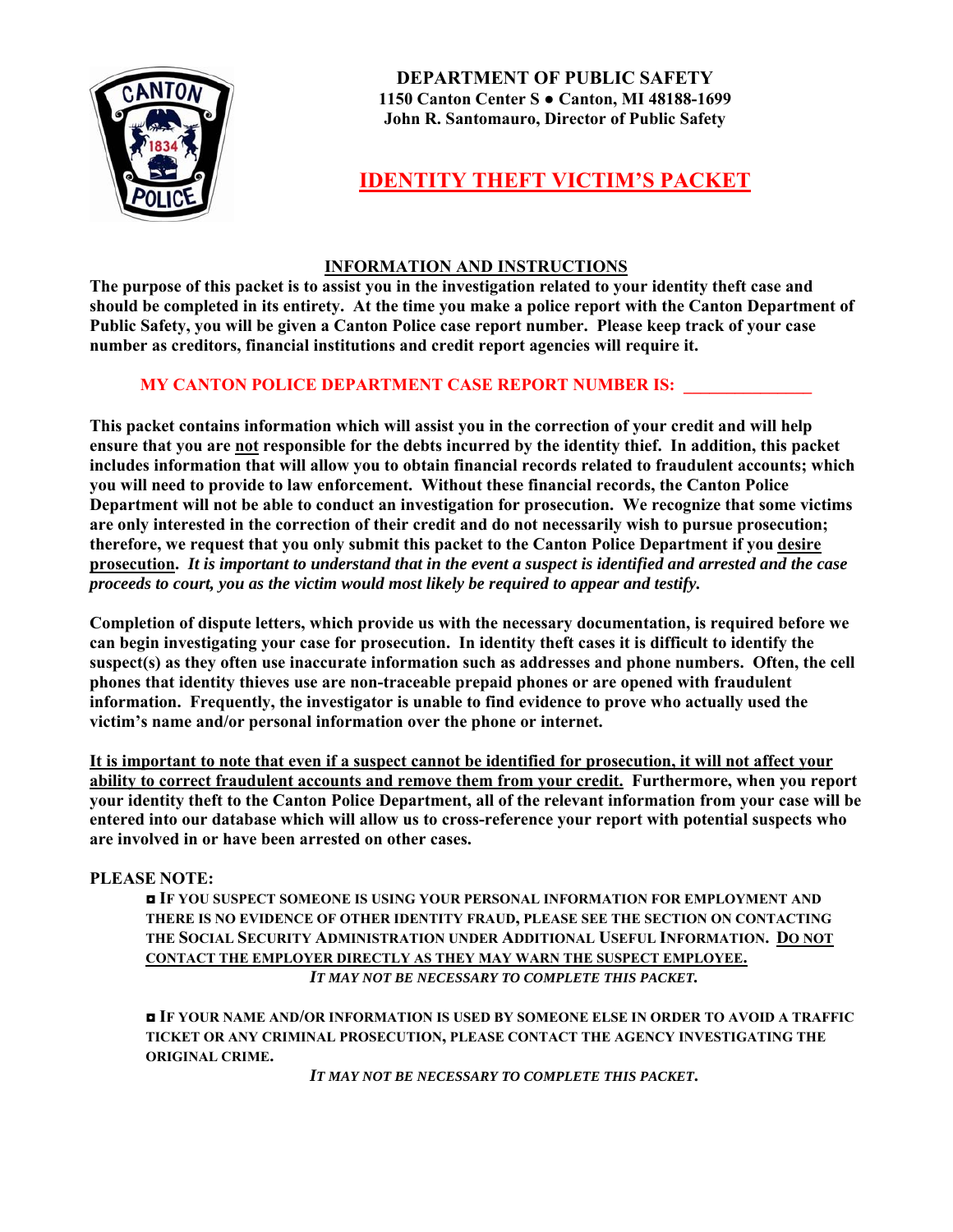

**DEPARTMENT OF PUBLIC SAFETY 1150 Canton Center S ● Canton, MI 48188-1699 John R. Santomauro, Director of Public Safety** 

# **IDENTITY THEFT VICTIM'S PACKET**

### **INFORMATION AND INSTRUCTIONS**

**The purpose of this packet is to assist you in the investigation related to your identity theft case and should be completed in its entirety. At the time you make a police report with the Canton Department of Public Safety, you will be given a Canton Police case report number. Please keep track of your case number as creditors, financial institutions and credit report agencies will require it.** 

## **MY CANTON POLICE DEPARTMENT CASE REPORT NUMBER IS:**

**This packet contains information which will assist you in the correction of your credit and will help ensure that you are not responsible for the debts incurred by the identity thief. In addition, this packet includes information that will allow you to obtain financial records related to fraudulent accounts; which you will need to provide to law enforcement. Without these financial records, the Canton Police Department will not be able to conduct an investigation for prosecution. We recognize that some victims are only interested in the correction of their credit and do not necessarily wish to pursue prosecution; therefore, we request that you only submit this packet to the Canton Police Department if you desire prosecution.** *It is important to understand that in the event a suspect is identified and arrested and the case proceeds to court, you as the victim would most likely be required to appear and testify.* 

**Completion of dispute letters, which provide us with the necessary documentation, is required before we can begin investigating your case for prosecution. In identity theft cases it is difficult to identify the suspect(s) as they often use inaccurate information such as addresses and phone numbers. Often, the cell phones that identity thieves use are non-traceable prepaid phones or are opened with fraudulent information. Frequently, the investigator is unable to find evidence to prove who actually used the victim's name and/or personal information over the phone or internet.** 

**It is important to note that even if a suspect cannot be identified for prosecution, it will not affect your ability to correct fraudulent accounts and remove them from your credit. Furthermore, when you report your identity theft to the Canton Police Department, all of the relevant information from your case will be entered into our database which will allow us to cross-reference your report with potential suspects who are involved in or have been arrested on other cases.** 

#### **PLEASE NOTE:**

**◘ IF YOU SUSPECT SOMEONE IS USING YOUR PERSONAL INFORMATION FOR EMPLOYMENT AND THERE IS NO EVIDENCE OF OTHER IDENTITY FRAUD, PLEASE SEE THE SECTION ON CONTACTING THE SOCIAL SECURITY ADMINISTRATION UNDER ADDITIONAL USEFUL INFORMATION. DO NOT CONTACT THE EMPLOYER DIRECTLY AS THEY MAY WARN THE SUSPECT EMPLOYEE.**  *IT MAY NOT BE NECESSARY TO COMPLETE THIS PACKET.* 

**◘ IF YOUR NAME AND/OR INFORMATION IS USED BY SOMEONE ELSE IN ORDER TO AVOID A TRAFFIC TICKET OR ANY CRIMINAL PROSECUTION, PLEASE CONTACT THE AGENCY INVESTIGATING THE ORIGINAL CRIME.** 

*IT MAY NOT BE NECESSARY TO COMPLETE THIS PACKET***.**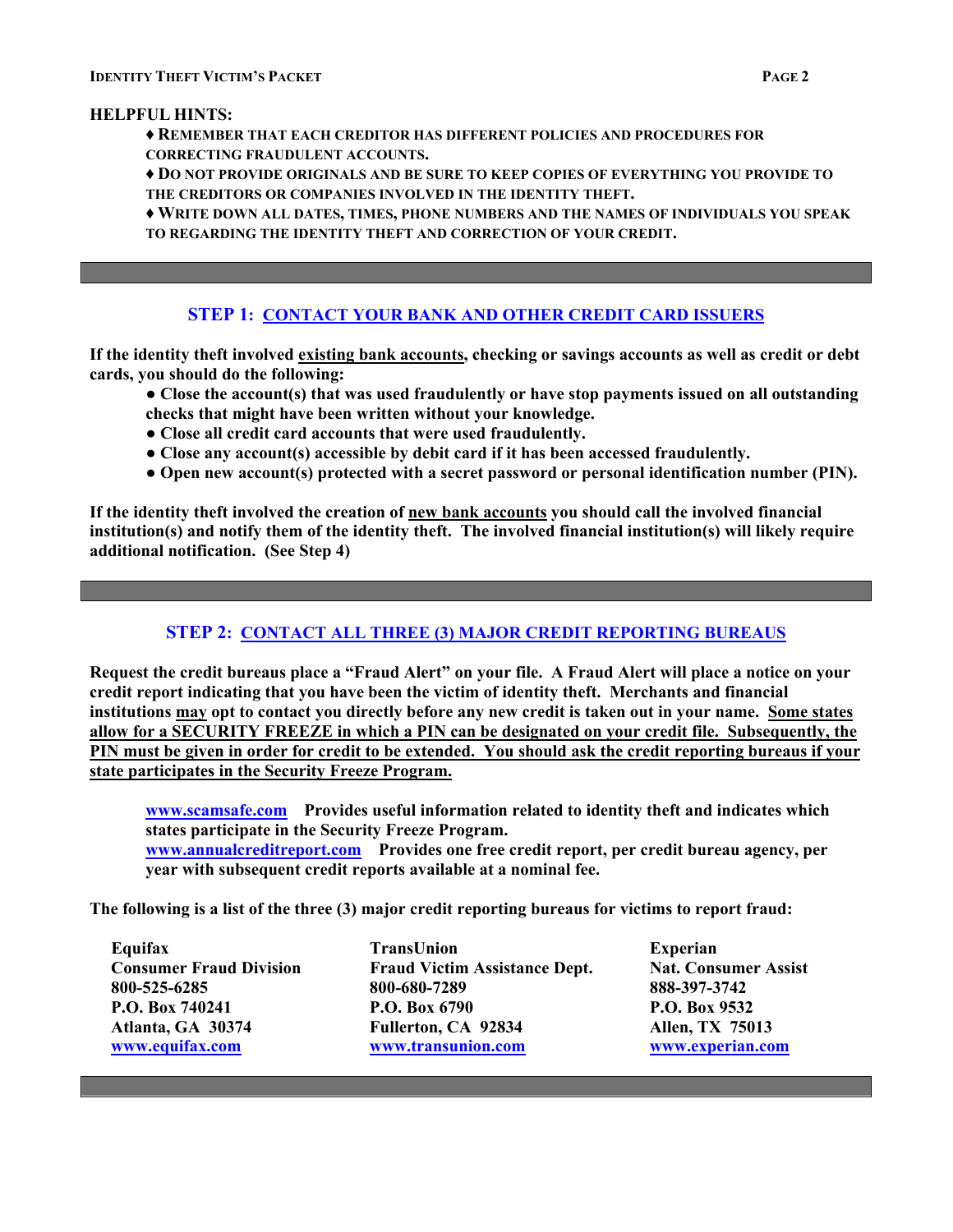### **HELPFUL HINTS:**

- **♦ REMEMBER THAT EACH CREDITOR HAS DIFFERENT POLICIES AND PROCEDURES FOR CORRECTING FRAUDULENT ACCOUNTS.**
- **♦ DO NOT PROVIDE ORIGINALS AND BE SURE TO KEEP COPIES OF EVERYTHING YOU PROVIDE TO THE CREDITORS OR COMPANIES INVOLVED IN THE IDENTITY THEFT.**

**♦ WRITE DOWN ALL DATES, TIMES, PHONE NUMBERS AND THE NAMES OF INDIVIDUALS YOU SPEAK TO REGARDING THE IDENTITY THEFT AND CORRECTION OF YOUR CREDIT.** 

## **STEP 1: CONTACT YOUR BANK AND OTHER CREDIT CARD ISSUERS**

**If the identity theft involved existing bank accounts, checking or savings accounts as well as credit or debt cards, you should do the following:** 

- **● Close the account(s) that was used fraudulently or have stop payments issued on all outstanding checks that might have been written without your knowledge.**
- **● Close all credit card accounts that were used fraudulently.**
- **● Close any account(s) accessible by debit card if it has been accessed fraudulently.**
- **● Open new account(s) protected with a secret password or personal identification number (PIN).**

**If the identity theft involved the creation of new bank accounts you should call the involved financial institution(s) and notify them of the identity theft. The involved financial institution(s) will likely require additional notification. (See Step 4)** 

## **STEP 2: CONTACT ALL THREE (3) MAJOR CREDIT REPORTING BUREAUS**

**Request the credit bureaus place a "Fraud Alert" on your file. A Fraud Alert will place a notice on your credit report indicating that you have been the victim of identity theft. Merchants and financial institutions may opt to contact you directly before any new credit is taken out in your name. Some states allow for a SECURITY FREEZE in which a PIN can be designated on your credit file. Subsequently, the PIN must be given in order for credit to be extended. You should ask the credit reporting bureaus if your state participates in the Security Freeze Program.**

**[www.scamsafe.com](http://www.scamsafe.com/) Provides useful information related to identity theft and indicates which states participate in the Security Freeze Program.** 

**[www.annualcreditreport.com](http://www.annualcreditreport.com/) Provides one free credit report, per credit bureau agency, per year with subsequent credit reports available at a nominal fee.** 

**The following is a list of the three (3) major credit reporting bureaus for victims to report fraud:** 

 **Equifax TransUnion Experian Consumer Fraud Division Fraud Victim Assistance Dept. Nat. Consumer Assist 800-525-6285 800-680-7289 888-397-3742 P.O. Box 740241 P.O. Box 6790 P.O. Box 9532 Atlanta, GA 30374 Fullerton, CA 92834 Allen, TX 75013 [www.equifax.com](http://www.equifax.com/) [www.transunion.com](http://www.transunion.com/) [www.experian.com](http://www.experian.com/)**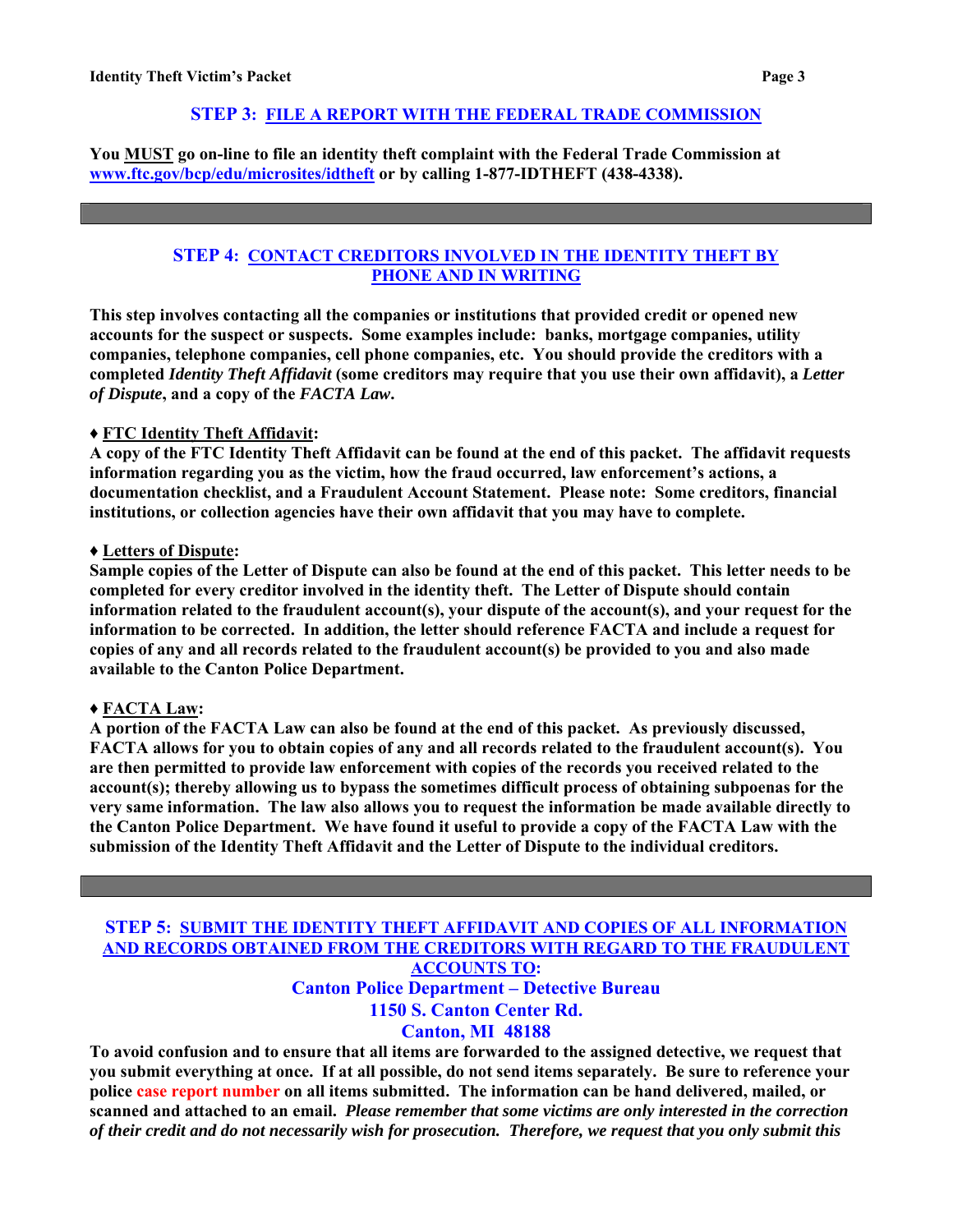## **STEP 3: FILE A REPORT WITH THE FEDERAL TRADE COMMISSION**

**You MUST go on-line to file an identity theft complaint with the Federal Trade Commission at [www.ftc.gov/bcp/edu/microsites/idtheft](http://www.ftc.gov/bcp/edu/microsites/idtheft) or by calling 1-877-IDTHEFT (438-4338).** 

### **STEP 4: CONTACT CREDITORS INVOLVED IN THE IDENTITY THEFT BY PHONE AND IN WRITING**

**This step involves contacting all the companies or institutions that provided credit or opened new accounts for the suspect or suspects. Some examples include: banks, mortgage companies, utility companies, telephone companies, cell phone companies, etc. You should provide the creditors with a completed** *Identity Theft Affidavit* **(some creditors may require that you use their own affidavit), a** *Letter of Dispute***, and a copy of the** *FACTA Law***.** 

#### **♦ FTC Identity Theft Affidavit:**

**A copy of the FTC Identity Theft Affidavit can be found at the end of this packet. The affidavit requests information regarding you as the victim, how the fraud occurred, law enforcement's actions, a documentation checklist, and a Fraudulent Account Statement. Please note: Some creditors, financial institutions, or collection agencies have their own affidavit that you may have to complete.** 

#### **♦ Letters of Dispute:**

**Sample copies of the Letter of Dispute can also be found at the end of this packet. This letter needs to be completed for every creditor involved in the identity theft. The Letter of Dispute should contain information related to the fraudulent account(s), your dispute of the account(s), and your request for the information to be corrected. In addition, the letter should reference FACTA and include a request for copies of any and all records related to the fraudulent account(s) be provided to you and also made available to the Canton Police Department.** 

#### **♦ FACTA Law:**

**A portion of the FACTA Law can also be found at the end of this packet. As previously discussed, FACTA allows for you to obtain copies of any and all records related to the fraudulent account(s). You are then permitted to provide law enforcement with copies of the records you received related to the account(s); thereby allowing us to bypass the sometimes difficult process of obtaining subpoenas for the very same information. The law also allows you to request the information be made available directly to the Canton Police Department. We have found it useful to provide a copy of the FACTA Law with the submission of the Identity Theft Affidavit and the Letter of Dispute to the individual creditors.** 

### **STEP 5: SUBMIT THE IDENTITY THEFT AFFIDAVIT AND COPIES OF ALL INFORMATION AND RECORDS OBTAINED FROM THE CREDITORS WITH REGARD TO THE FRAUDULENT ACCOUNTS TO: Canton Police Department – Detective Bureau**

# **1150 S. Canton Center Rd.**

**Canton, MI 48188**

**To avoid confusion and to ensure that all items are forwarded to the assigned detective, we request that you submit everything at once. If at all possible, do not send items separately. Be sure to reference your police case report number on all items submitted. The information can be hand delivered, mailed, or scanned and attached to an email.** *Please remember that some victims are only interested in the correction of their credit and do not necessarily wish for prosecution. Therefore, we request that you only submit this*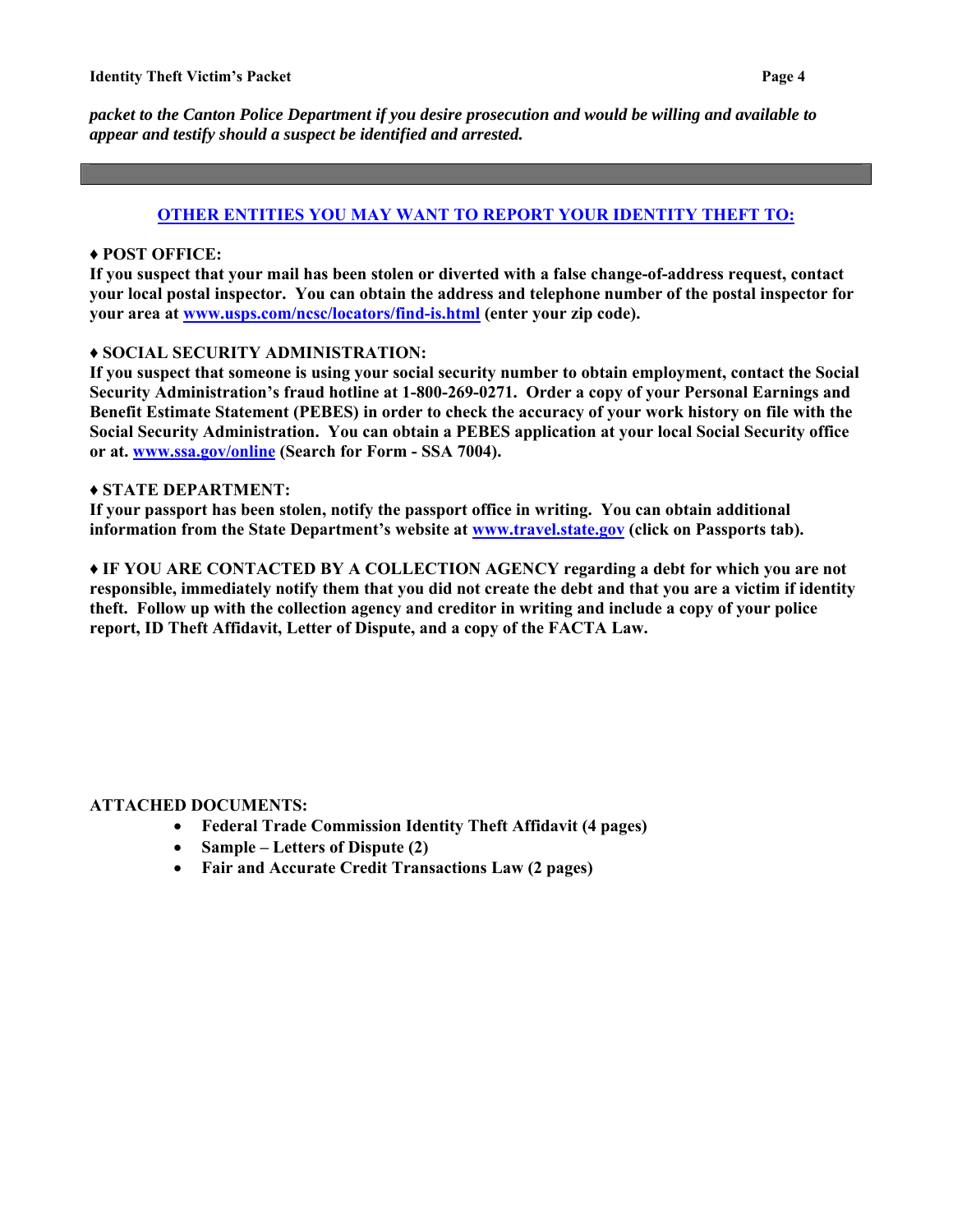*packet to the Canton Police Department if you desire prosecution and would be willing and available to appear and testify should a suspect be identified and arrested.* 

### **OTHER ENTITIES YOU MAY WANT TO REPORT YOUR IDENTITY THEFT TO:**

### **♦ POST OFFICE:**

**If you suspect that your mail has been stolen or diverted with a false change-of-address request, contact your local postal inspector. You can obtain the address and telephone number of the postal inspector for your area at [www.usps.com/ncsc/locators/find-is.html](http://www.usps.com/ncsc/locators/find-is.html) (enter your zip code).** 

#### **♦ SOCIAL SECURITY ADMINISTRATION:**

**If you suspect that someone is using your social security number to obtain employment, contact the Social Security Administration's fraud hotline at 1-800-269-0271. Order a copy of your Personal Earnings and Benefit Estimate Statement (PEBES) in order to check the accuracy of your work history on file with the Social Security Administration. You can obtain a PEBES application at your local Social Security office or at. [www.ssa.gov/online](http://www.ssa.gov/online) (Search for Form - SSA 7004).** 

#### **♦ STATE DEPARTMENT:**

**If your passport has been stolen, notify the passport office in writing. You can obtain additional information from the State Department's website at [www.travel.state.gov](http://www.travel.state.gov/) (click on Passports tab).** 

**♦ IF YOU ARE CONTACTED BY A COLLECTION AGENCY regarding a debt for which you are not responsible, immediately notify them that you did not create the debt and that you are a victim if identity theft. Follow up with the collection agency and creditor in writing and include a copy of your police report, ID Theft Affidavit, Letter of Dispute, and a copy of the FACTA Law.** 

## **ATTACHED DOCUMENTS:**

- **Federal Trade Commission Identity Theft Affidavit (4 pages)**
- **Sample Letters of Dispute (2)**
- **Fair and Accurate Credit Transactions Law (2 pages)**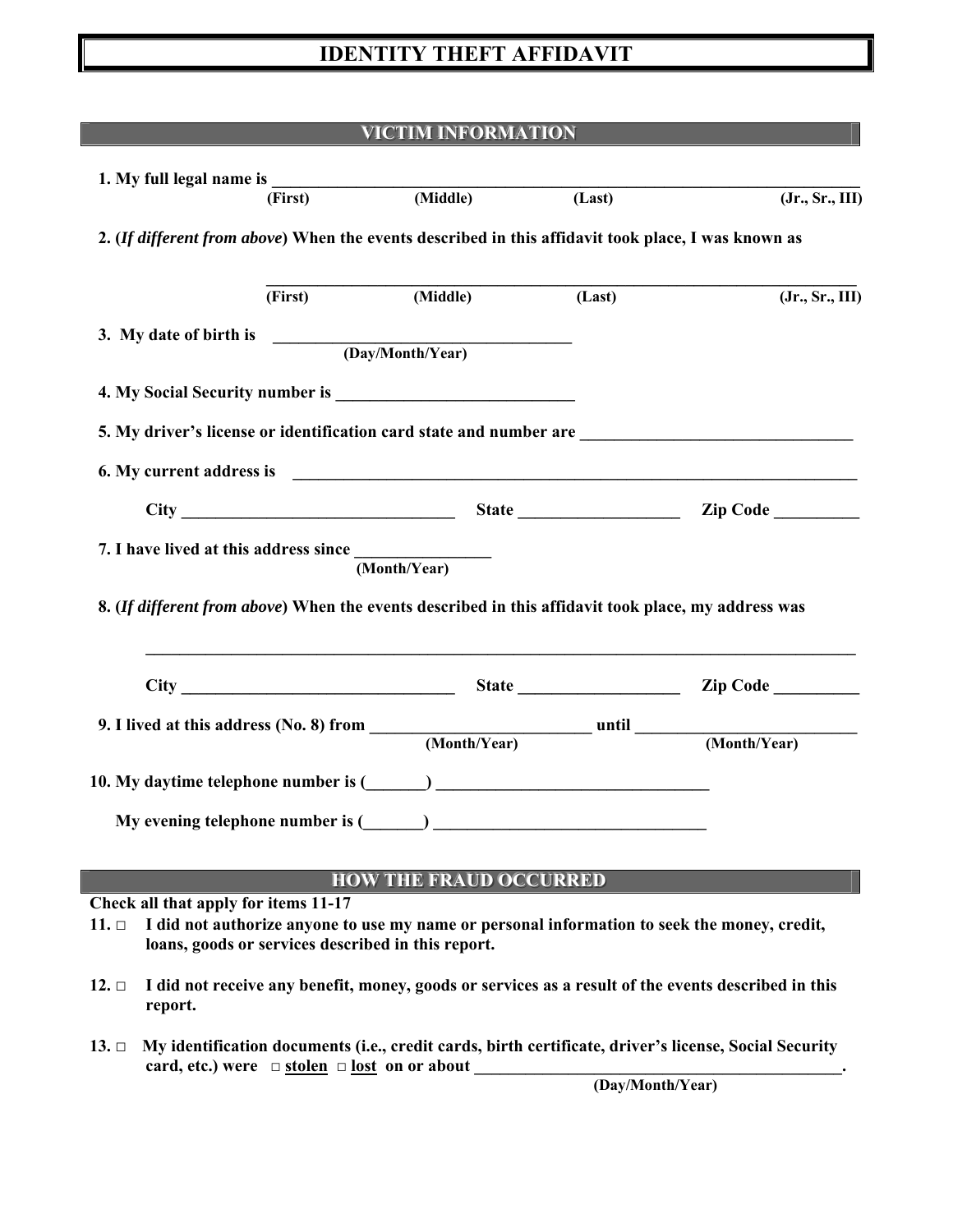# **IDENTITY THEFT AFFIDAVIT**

# **VICTIM INFORMATION**

|            |                                                                                                                | (First)                                                        | (Middle)                                                                                                                                                                                                                            | (Last) | (Jr., Sr., III)                                                                                       |  |  |  |
|------------|----------------------------------------------------------------------------------------------------------------|----------------------------------------------------------------|-------------------------------------------------------------------------------------------------------------------------------------------------------------------------------------------------------------------------------------|--------|-------------------------------------------------------------------------------------------------------|--|--|--|
|            |                                                                                                                |                                                                | 2. (If different from above) When the events described in this affidavit took place, I was known as                                                                                                                                 |        |                                                                                                       |  |  |  |
|            |                                                                                                                | (First)                                                        | (Middle)                                                                                                                                                                                                                            | (Last) | (Jr., Sr., III)                                                                                       |  |  |  |
|            | 3. My date of birth is                                                                                         |                                                                | (Day/Month/Year)                                                                                                                                                                                                                    |        |                                                                                                       |  |  |  |
|            |                                                                                                                |                                                                | 4. My Social Security number is <b>Example 2018</b> 2014 12:00 12:00 12:00 12:00 12:00 12:00 12:00 12:00 12:00 12:00 12:00 12:00 12:00 12:00 12:00 12:00 12:00 12:00 12:00 12:00 12:00 12:00 12:00 12:00 12:00 12:00 12:00 12:00 12 |        |                                                                                                       |  |  |  |
|            |                                                                                                                |                                                                |                                                                                                                                                                                                                                     |        |                                                                                                       |  |  |  |
|            |                                                                                                                |                                                                |                                                                                                                                                                                                                                     |        |                                                                                                       |  |  |  |
|            |                                                                                                                |                                                                |                                                                                                                                                                                                                                     |        |                                                                                                       |  |  |  |
|            |                                                                                                                | 7. I have lived at this address since $\frac{1}{(Month/Year)}$ |                                                                                                                                                                                                                                     |        |                                                                                                       |  |  |  |
|            |                                                                                                                |                                                                | 8. (If different from above) When the events described in this affidavit took place, my address was                                                                                                                                 |        |                                                                                                       |  |  |  |
|            |                                                                                                                |                                                                |                                                                                                                                                                                                                                     |        |                                                                                                       |  |  |  |
|            |                                                                                                                |                                                                |                                                                                                                                                                                                                                     |        |                                                                                                       |  |  |  |
|            |                                                                                                                |                                                                |                                                                                                                                                                                                                                     |        |                                                                                                       |  |  |  |
|            |                                                                                                                |                                                                |                                                                                                                                                                                                                                     |        |                                                                                                       |  |  |  |
|            |                                                                                                                |                                                                | <b>HOW THE FRAUD OCCURRED</b>                                                                                                                                                                                                       |        |                                                                                                       |  |  |  |
|            | Check all that apply for items 11-17                                                                           |                                                                |                                                                                                                                                                                                                                     |        |                                                                                                       |  |  |  |
| $11. \Box$ |                                                                                                                | loans, goods or services described in this report.             |                                                                                                                                                                                                                                     |        | I did not authorize anyone to use my name or personal information to seek the money, credit,          |  |  |  |
| $12. \Box$ | I did not receive any benefit, money, goods or services as a result of the events described in this<br>report. |                                                                |                                                                                                                                                                                                                                     |        |                                                                                                       |  |  |  |
| $13. \Box$ |                                                                                                                | card, etc.) were $\Box$ stolen $\Box$ lost on or about         |                                                                                                                                                                                                                                     |        | My identification documents (i.e., credit cards, birth certificate, driver's license, Social Security |  |  |  |

 **(Day/Month/Year)**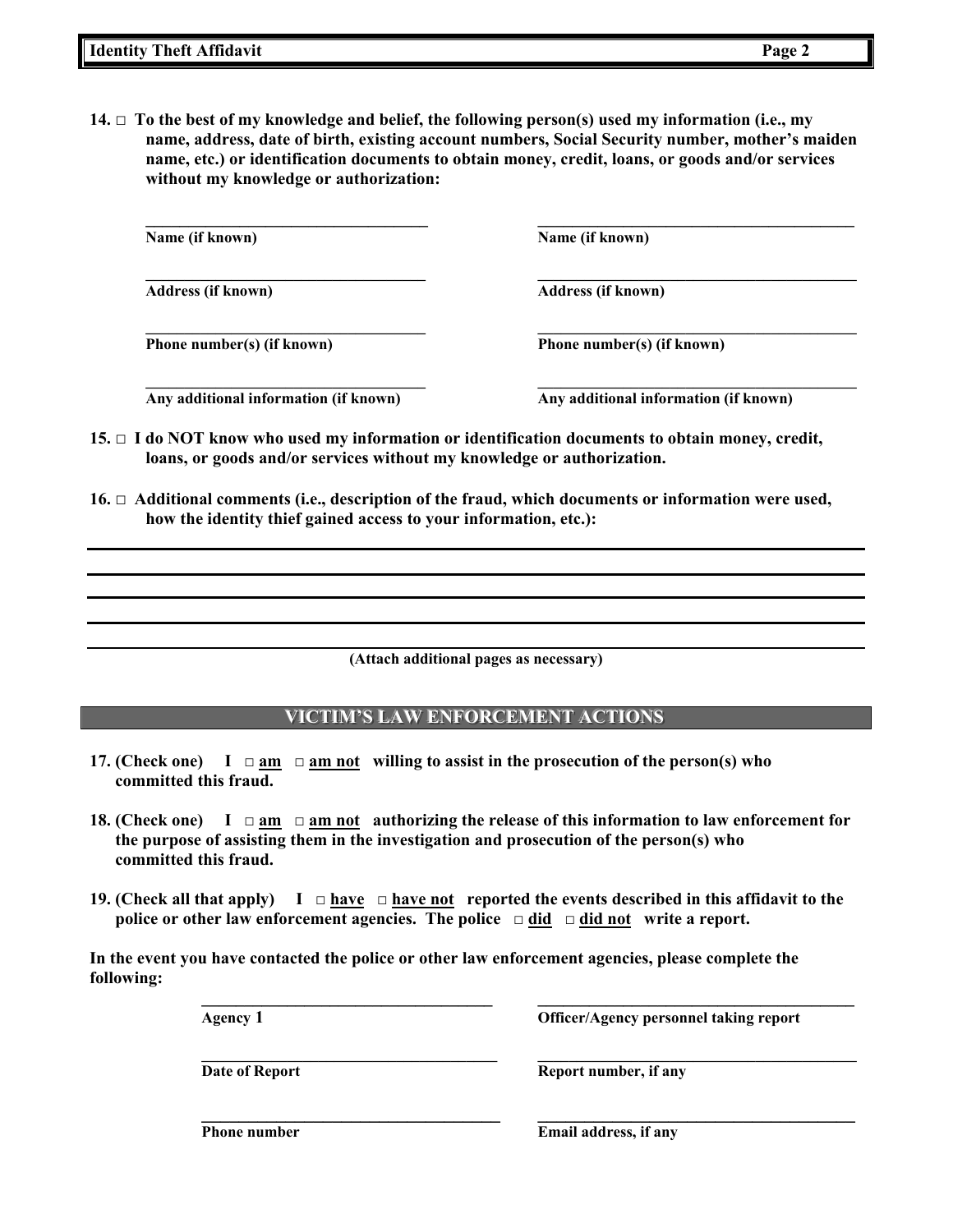**14.**  $\Box$  **To the best of my knowledge and belief, the following person(s) used my information (i.e., my name, address, date of birth, existing account numbers, Social Security number, mother's maiden name, etc.) or identification documents to obtain money, credit, loans, or goods and/or services without my knowledge or authorization:** 

**\_\_\_\_\_\_\_\_\_\_\_\_\_\_\_\_\_\_\_\_\_\_\_\_\_\_\_\_\_\_\_\_\_ \_\_\_\_\_\_\_\_\_\_\_\_\_\_\_\_\_\_\_\_\_\_\_\_\_\_\_\_\_\_\_\_\_\_\_\_\_ Name (if known) Name (if known)**  $\mathcal{L} = \{ \mathcal{L} \mathcal{L} \mathcal{L} \mathcal{L} \mathcal{L} \mathcal{L} \mathcal{L} \mathcal{L} \mathcal{L} \mathcal{L} \mathcal{L} \mathcal{L} \mathcal{L} \mathcal{L} \mathcal{L} \mathcal{L} \mathcal{L} \mathcal{L} \mathcal{L} \mathcal{L} \mathcal{L} \mathcal{L} \mathcal{L} \mathcal{L} \mathcal{L} \mathcal{L} \mathcal{L} \mathcal{L} \mathcal{L} \mathcal{L} \mathcal{L} \mathcal{L} \mathcal{L} \mathcal{L} \mathcal{L} \$ **Address (if known) Address (if known)**   $\mathcal{L} = \{ \mathcal{L} \mathcal{L} \mathcal{L} \mathcal{L} \mathcal{L} \mathcal{L} \mathcal{L} \mathcal{L} \mathcal{L} \mathcal{L} \mathcal{L} \mathcal{L} \mathcal{L} \mathcal{L} \mathcal{L} \mathcal{L} \mathcal{L} \mathcal{L} \mathcal{L} \mathcal{L} \mathcal{L} \mathcal{L} \mathcal{L} \mathcal{L} \mathcal{L} \mathcal{L} \mathcal{L} \mathcal{L} \mathcal{L} \mathcal{L} \mathcal{L} \mathcal{L} \mathcal{L} \mathcal{L} \mathcal{L} \$ 

**Phone number(s) (if known) Phone number(s) (if known)** 

 $\mathcal{L} = \{ \mathcal{L} \mathcal{L} \mathcal{L} \mathcal{L} \mathcal{L} \mathcal{L} \mathcal{L} \mathcal{L} \mathcal{L} \mathcal{L} \mathcal{L} \mathcal{L} \mathcal{L} \mathcal{L} \mathcal{L} \mathcal{L} \mathcal{L} \mathcal{L} \mathcal{L} \mathcal{L} \mathcal{L} \mathcal{L} \mathcal{L} \mathcal{L} \mathcal{L} \mathcal{L} \mathcal{L} \mathcal{L} \mathcal{L} \mathcal{L} \mathcal{L} \mathcal{L} \mathcal{L} \mathcal{L} \mathcal{L} \$ **Any additional information (if known) Any additional information (if known)**

- **15. □ I do NOT know who used my information or identification documents to obtain money, credit, loans, or goods and/or services without my knowledge or authorization.**
- **16. □ Additional comments (i.e., description of the fraud, which documents or information were used, how the identity thief gained access to your information, etc.):**

**(Attach additional pages as necessary)**

## **VICTIM'S LAW ENFORCEMENT ACTIONS**

- **17. (Check one) I □ am □ am not willing to assist in the prosecution of the person(s) who committed this fraud.**
- **18. (Check one) I □ am □ am not authorizing the release of this information to law enforcement for the purpose of assisting them in the investigation and prosecution of the person(s) who committed this fraud.**
- **19. (Check all that apply) I □ have □ have not reported the events described in this affidavit to the police or other law enforcement agencies. The police □ did □ did not write a report.**

 **\_\_\_\_\_\_\_\_\_\_\_\_\_\_\_\_\_\_\_\_\_\_\_\_\_\_\_\_\_\_\_\_\_\_ \_\_\_\_\_\_\_\_\_\_\_\_\_\_\_\_\_\_\_\_\_\_\_\_\_\_\_\_\_\_\_\_\_\_\_\_\_** 

 $\mathcal{L}_\text{max} = \frac{1}{2} \sum_{i=1}^{n} \frac{1}{2} \sum_{i=1}^{n} \frac{1}{2} \sum_{i=1}^{n} \frac{1}{2} \sum_{i=1}^{n} \frac{1}{2} \sum_{i=1}^{n} \frac{1}{2} \sum_{i=1}^{n} \frac{1}{2} \sum_{i=1}^{n} \frac{1}{2} \sum_{i=1}^{n} \frac{1}{2} \sum_{i=1}^{n} \frac{1}{2} \sum_{i=1}^{n} \frac{1}{2} \sum_{i=1}^{n} \frac{1}{2} \sum_{i=1}^{n} \frac{1$ 

**In the event you have contacted the police or other law enforcement agencies, please complete the following:** 

 **Agency 1 Officer/Agency personnel taking report** 

**Date of Report**  Report number, if any

**Phone number** Email address, if any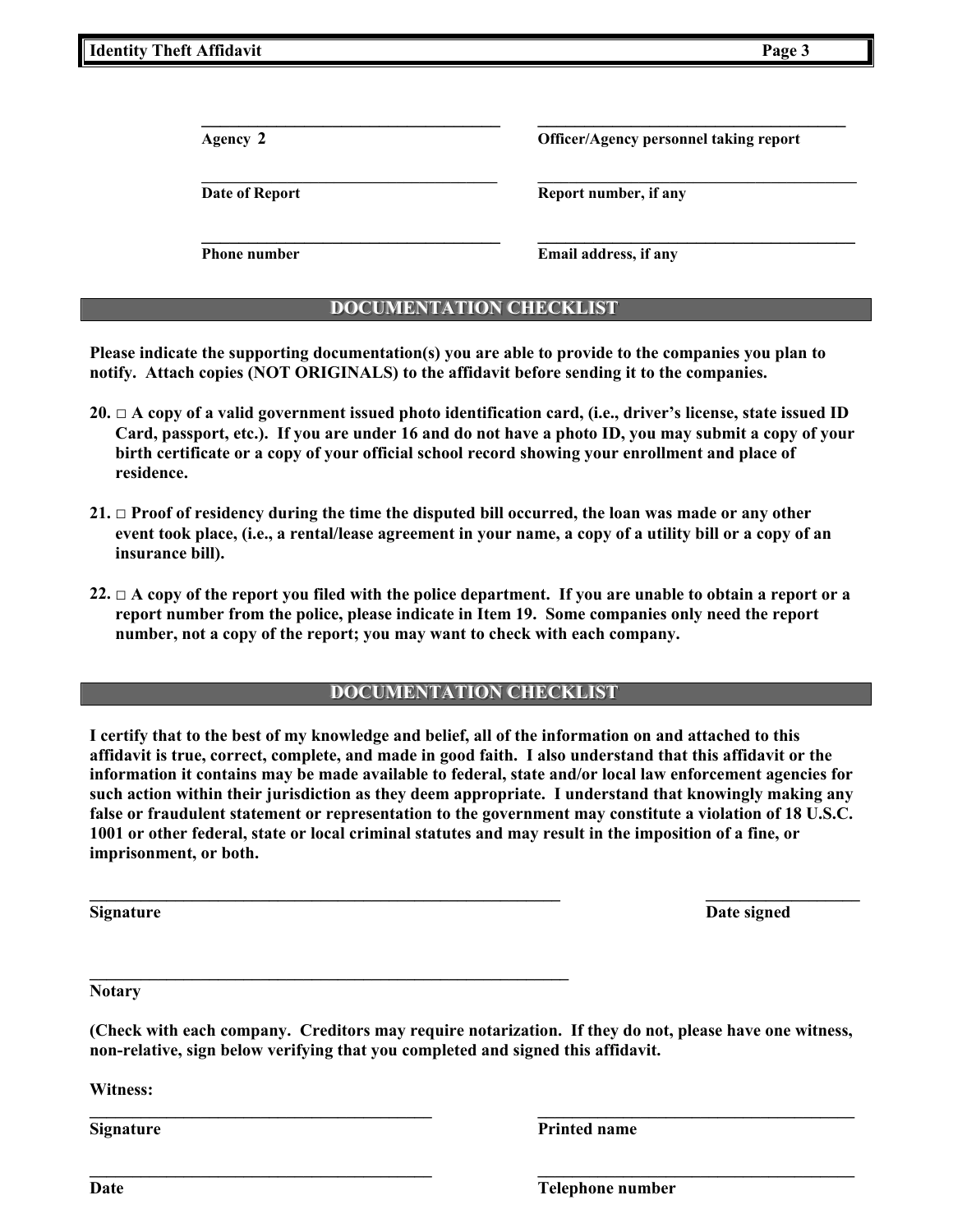**Date** Telephone number

| <b>Identity Theft Affidavit</b> | Page 3 |
|---------------------------------|--------|
|                                 |        |

 $\mathcal{L}_\text{max} = \frac{1}{2} \sum_{i=1}^{n} \frac{1}{2} \sum_{i=1}^{n} \frac{1}{2} \sum_{i=1}^{n} \frac{1}{2} \sum_{i=1}^{n} \frac{1}{2} \sum_{i=1}^{n} \frac{1}{2} \sum_{i=1}^{n} \frac{1}{2} \sum_{i=1}^{n} \frac{1}{2} \sum_{i=1}^{n} \frac{1}{2} \sum_{i=1}^{n} \frac{1}{2} \sum_{i=1}^{n} \frac{1}{2} \sum_{i=1}^{n} \frac{1}{2} \sum_{i=1}^{n} \frac{1$ **Agency 2 Officer/Agency personnel taking report** 

**Date of Report Contract Contract Report number, if any** 

 $\mathcal{L}_\text{max} = \frac{1}{2} \sum_{i=1}^{n} \frac{1}{2} \sum_{i=1}^{n} \frac{1}{2} \sum_{i=1}^{n} \frac{1}{2} \sum_{i=1}^{n} \frac{1}{2} \sum_{i=1}^{n} \frac{1}{2} \sum_{i=1}^{n} \frac{1}{2} \sum_{i=1}^{n} \frac{1}{2} \sum_{i=1}^{n} \frac{1}{2} \sum_{i=1}^{n} \frac{1}{2} \sum_{i=1}^{n} \frac{1}{2} \sum_{i=1}^{n} \frac{1}{2} \sum_{i=1}^{n} \frac{1$ **Phone number** Email address, if any

# **DOCUMENTATION CHECKLIST**

 $\mathcal{L}_\text{max} = \frac{1}{2} \sum_{i=1}^n \frac{1}{(i-1)(i-1)(i-1)} \sum_{i=1}^n \frac{1}{(i-1)(i-1)(i-1)} \sum_{i=1}^n \frac{1}{(i-1)(i-1)(i-1)} \sum_{i=1}^n \frac{1}{(i-1)(i-1)(i-1)} \sum_{i=1}^n \frac{1}{(i-1)(i-1)(i-1)} \sum_{i=1}^n \frac{1}{(i-1)(i-1)(i-1)} \sum_{i=1}^n \frac{1}{(i-1)(i-1)(i-1)} \sum_{i=1}^n \frac{$ 

**Please indicate the supporting documentation(s) you are able to provide to the companies you plan to notify. Attach copies (NOT ORIGINALS) to the affidavit before sending it to the companies.** 

- **20. □ A copy of a valid government issued photo identification card, (i.e., driver's license, state issued ID Card, passport, etc.). If you are under 16 and do not have a photo ID, you may submit a copy of your birth certificate or a copy of your official school record showing your enrollment and place of residence.**
- **21. □ Proof of residency during the time the disputed bill occurred, the loan was made or any other event took place, (i.e., a rental/lease agreement in your name, a copy of a utility bill or a copy of an insurance bill).**
- **22. □ A copy of the report you filed with the police department. If you are unable to obtain a report or a report number from the police, please indicate in Item 19. Some companies only need the report number, not a copy of the report; you may want to check with each company.**

## **DOCUMENTATION CHECKLIST**

**I certify that to the best of my knowledge and belief, all of the information on and attached to this affidavit is true, correct, complete, and made in good faith. I also understand that this affidavit or the information it contains may be made available to federal, state and/or local law enforcement agencies for such action within their jurisdiction as they deem appropriate. I understand that knowingly making any false or fraudulent statement or representation to the government may constitute a violation of 18 U.S.C. 1001 or other federal, state or local criminal statutes and may result in the imposition of a fine, or imprisonment, or both.** 

**Signature** Date signed **Date signed** 

**\_\_\_\_\_\_\_\_\_\_\_\_\_\_\_\_\_\_\_\_\_\_\_\_\_\_\_\_\_\_\_\_\_\_\_\_\_\_\_\_\_\_\_\_\_\_\_\_\_\_\_\_\_\_\_\_ Notary** 

**(Check with each company. Creditors may require notarization. If they do not, please have one witness, non-relative, sign below verifying that you completed and signed this affidavit.** 

**\_\_\_\_\_\_\_\_\_\_\_\_\_\_\_\_\_\_\_\_\_\_\_\_\_\_\_\_\_\_\_\_\_\_\_\_\_\_\_\_ \_\_\_\_\_\_\_\_\_\_\_\_\_\_\_\_\_\_\_\_\_\_\_\_\_\_\_\_\_\_\_\_\_\_\_\_\_** 

**Witness:** 

**Signature** Printed name

**\_\_\_\_\_\_\_\_\_\_\_\_\_\_\_\_\_\_\_\_\_\_\_\_\_\_\_\_\_\_\_\_\_\_\_\_\_\_\_\_\_\_\_\_\_\_\_\_\_\_\_\_\_\_\_ \_\_\_\_\_\_\_\_\_\_\_\_\_\_\_\_\_\_**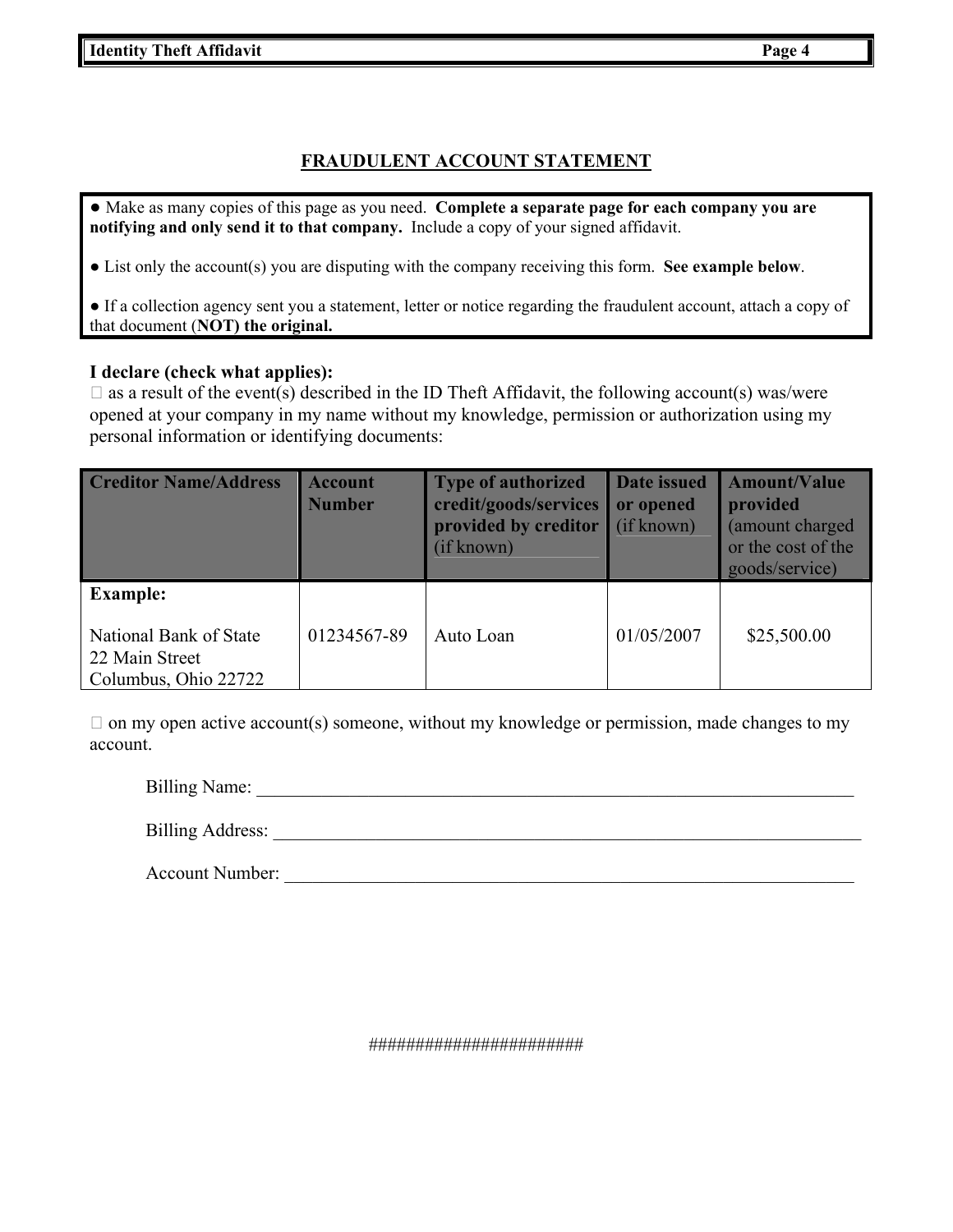# **FRAUDULENT ACCOUNT STATEMENT**

● Make as many copies of this page as you need. **Complete a separate page for each company you are notifying and only send it to that company.** Include a copy of your signed affidavit.

● List only the account(s) you are disputing with the company receiving this form. **See example below**.

● If a collection agency sent you a statement, letter or notice regarding the fraudulent account, attach a copy of that document (**NOT) the original.**

### **I declare (check what applies):**

 $\Box$  as a result of the event(s) described in the ID Theft Affidavit, the following account(s) was/were opened at your company in my name without my knowledge, permission or authorization using my personal information or identifying documents:

| <b>Creditor Name/Address</b>                                                        | <b>Account</b><br><b>Number</b> | <b>Type of authorized</b><br>credit/goods/services<br>provided by creditor<br>(if known) | Date issued<br>or opened<br>(if known) | <b>Amount/Value</b><br>provided<br>(amount charged)<br>or the cost of the<br>goods/service) |
|-------------------------------------------------------------------------------------|---------------------------------|------------------------------------------------------------------------------------------|----------------------------------------|---------------------------------------------------------------------------------------------|
| <b>Example:</b><br>National Bank of State<br>22 Main Street<br>Columbus, Ohio 22722 | 01234567-89                     | Auto Loan                                                                                | 01/05/2007                             | \$25,500.00                                                                                 |

 $\Box$  on my open active account(s) someone, without my knowledge or permission, made changes to my account.

Billing Name: \_\_\_\_\_\_\_\_\_\_\_\_\_\_\_\_\_\_\_\_\_\_\_\_\_\_\_\_\_\_\_\_\_\_\_\_\_\_\_\_\_\_\_\_\_\_\_\_\_\_\_\_\_\_\_\_\_\_\_\_\_\_\_\_

Billing Address:

Account Number: \_\_\_\_\_\_\_\_\_\_\_\_\_\_\_\_\_\_\_\_\_\_\_\_\_\_\_\_\_\_\_\_\_\_\_\_\_\_\_\_\_\_\_\_\_\_\_\_\_\_\_\_\_\_\_\_\_\_\_\_\_

#######################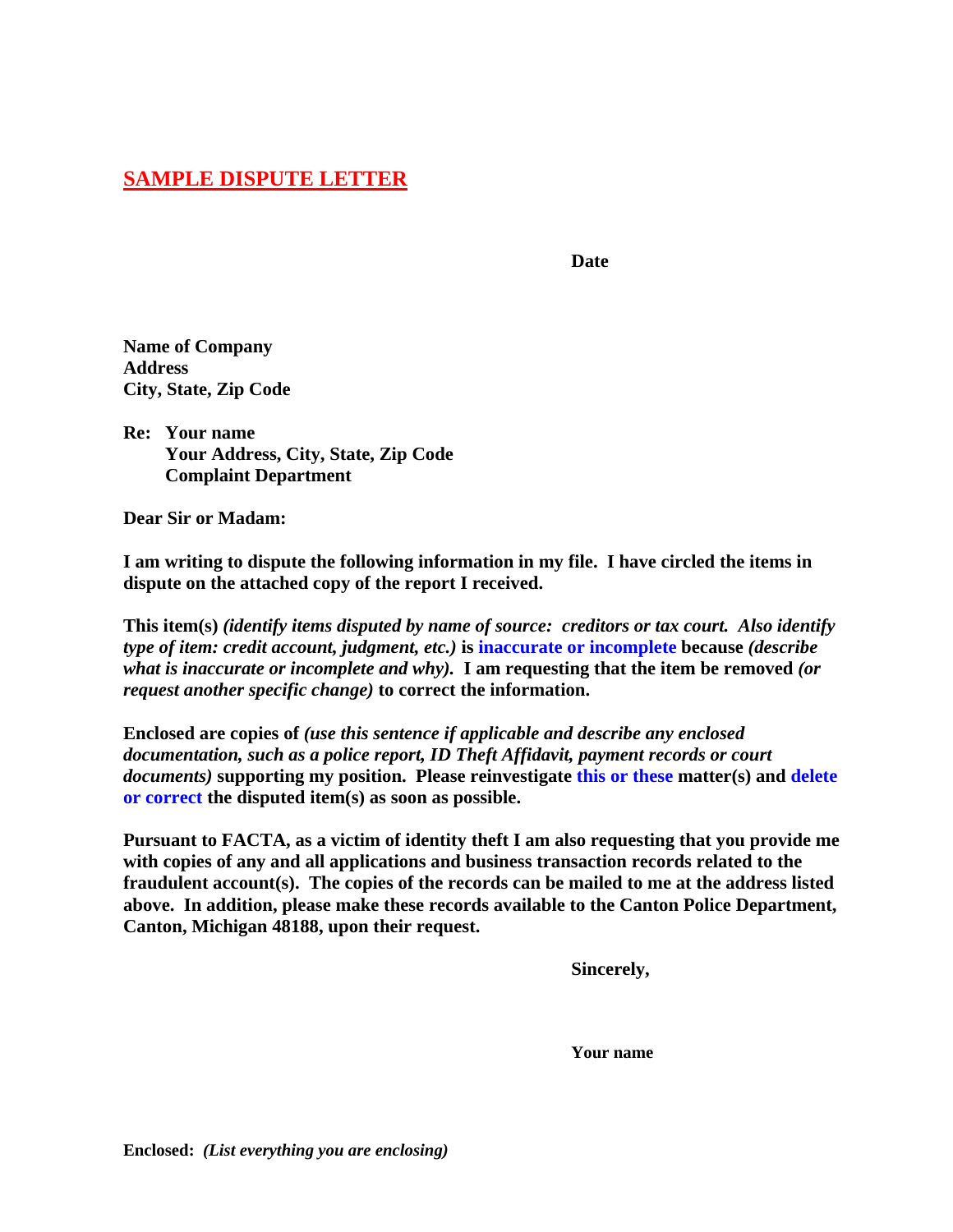# **SAMPLE DISPUTE LETTER**

**Date Date** 

**Name of Company Address City, State, Zip Code** 

**Re: Your name Your Address, City, State, Zip Code Complaint Department** 

**Dear Sir or Madam:** 

**I am writing to dispute the following information in my file. I have circled the items in dispute on the attached copy of the report I received.** 

**This item(s)** *(identify items disputed by name of source: creditors or tax court. Also identify type of item: credit account, judgment, etc.)* **is inaccurate or incomplete because** *(describe what is inaccurate or incomplete and why).* **I am requesting that the item be removed** *(or request another specific change)* **to correct the information.** 

**Enclosed are copies of** *(use this sentence if applicable and describe any enclosed documentation, such as a police report, ID Theft Affidavit, payment records or court documents)* **supporting my position. Please reinvestigate this or these matter(s) and delete or correct the disputed item(s) as soon as possible.** 

**Pursuant to FACTA, as a victim of identity theft I am also requesting that you provide me with copies of any and all applications and business transaction records related to the fraudulent account(s). The copies of the records can be mailed to me at the address listed above. In addition, please make these records available to the Canton Police Department, Canton, Michigan 48188, upon their request.** 

 **Sincerely,** 

 **Your name**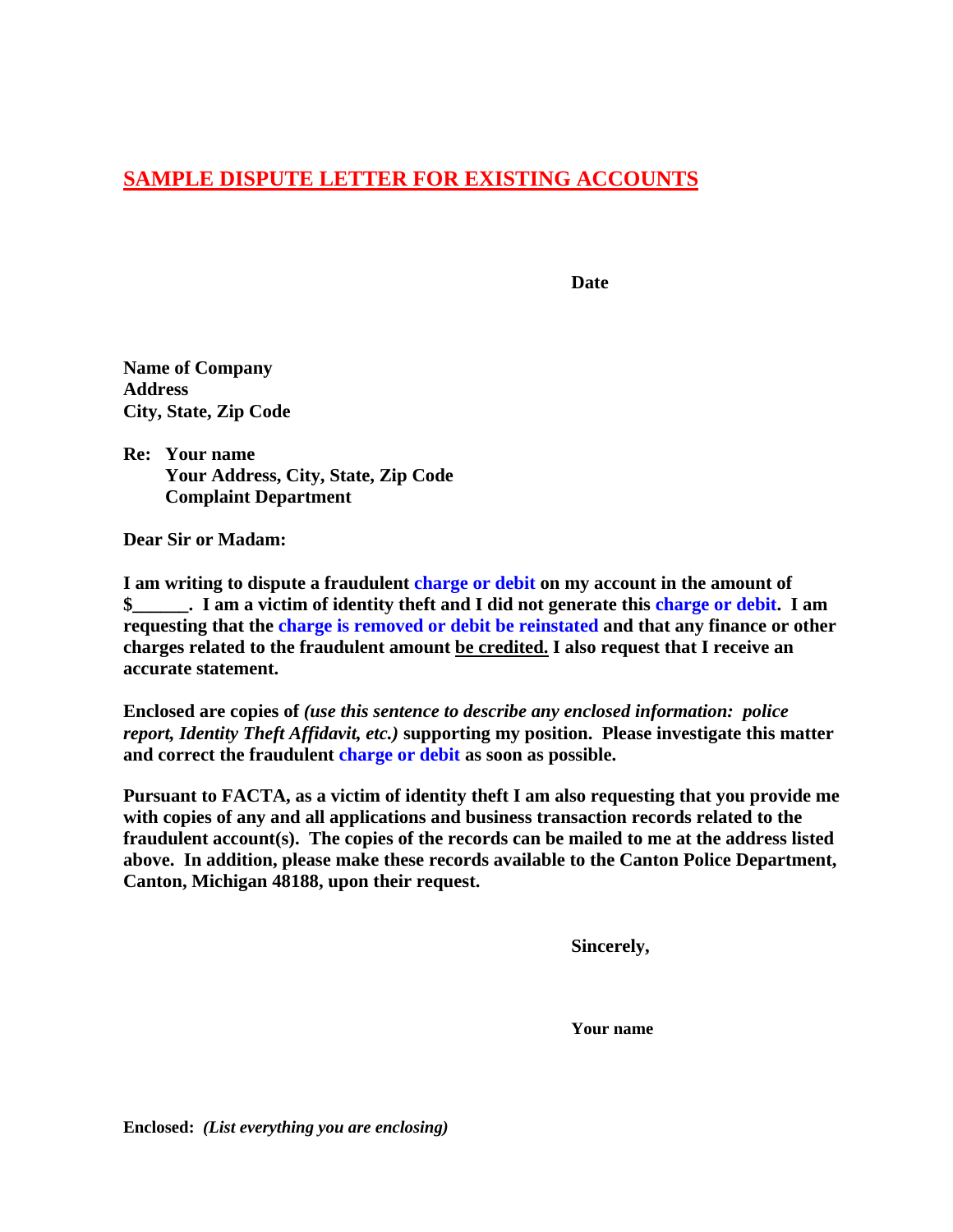# **SAMPLE DISPUTE LETTER FOR EXISTING ACCOUNTS**

**Date Date** 

**Name of Company Address City, State, Zip Code** 

**Re: Your name Your Address, City, State, Zip Code Complaint Department** 

**Dear Sir or Madam:** 

**I am writing to dispute a fraudulent charge or debit on my account in the amount of \$\_\_\_\_\_\_. I am a victim of identity theft and I did not generate this charge or debit. I am requesting that the charge is removed or debit be reinstated and that any finance or other charges related to the fraudulent amount be credited. I also request that I receive an accurate statement.** 

**Enclosed are copies of** *(use this sentence to describe any enclosed information: police report, Identity Theft Affidavit, etc.)* **supporting my position. Please investigate this matter and correct the fraudulent charge or debit as soon as possible.** 

**Pursuant to FACTA, as a victim of identity theft I am also requesting that you provide me with copies of any and all applications and business transaction records related to the fraudulent account(s). The copies of the records can be mailed to me at the address listed above. In addition, please make these records available to the Canton Police Department, Canton, Michigan 48188, upon their request.** 

 **Sincerely,** 

 **Your name** 

**Enclosed:** *(List everything you are enclosing)*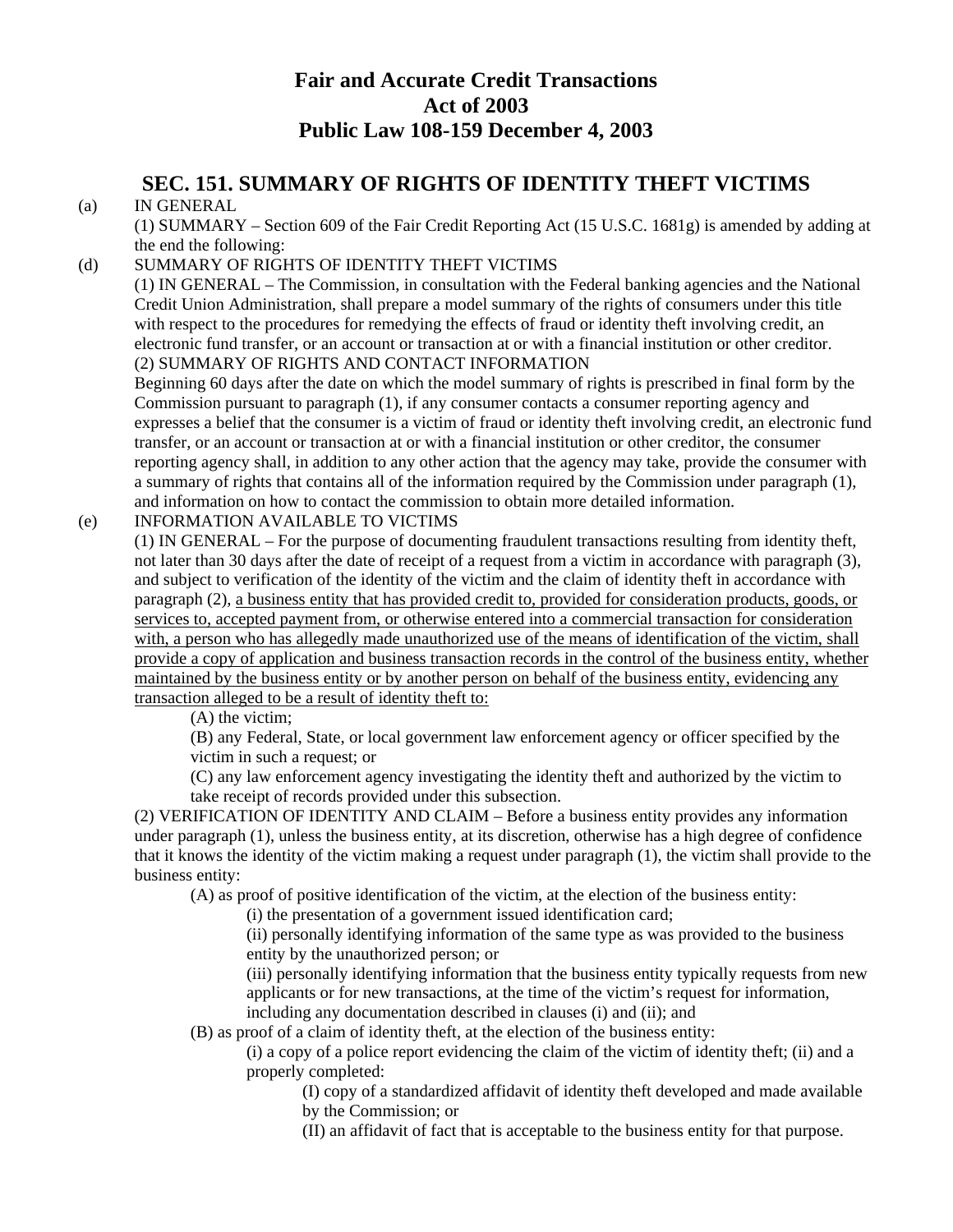# **Fair and Accurate Credit Transactions Act of 2003 Public Law 108-159 December 4, 2003**

# **SEC. 151. SUMMARY OF RIGHTS OF IDENTITY THEFT VICTIMS**

# (a) IN GENERAL

(1) SUMMARY – Section 609 of the Fair Credit Reporting Act (15 U.S.C. 1681g) is amended by adding at the end the following:

# (d) SUMMARY OF RIGHTS OF IDENTITY THEFT VICTIMS

(1) IN GENERAL – The Commission, in consultation with the Federal banking agencies and the National Credit Union Administration, shall prepare a model summary of the rights of consumers under this title with respect to the procedures for remedying the effects of fraud or identity theft involving credit, an electronic fund transfer, or an account or transaction at or with a financial institution or other creditor. (2) SUMMARY OF RIGHTS AND CONTACT INFORMATION

Beginning 60 days after the date on which the model summary of rights is prescribed in final form by the Commission pursuant to paragraph (1), if any consumer contacts a consumer reporting agency and expresses a belief that the consumer is a victim of fraud or identity theft involving credit, an electronic fund transfer, or an account or transaction at or with a financial institution or other creditor, the consumer reporting agency shall, in addition to any other action that the agency may take, provide the consumer with a summary of rights that contains all of the information required by the Commission under paragraph (1), and information on how to contact the commission to obtain more detailed information.

## (e) INFORMATION AVAILABLE TO VICTIMS

(1) IN GENERAL – For the purpose of documenting fraudulent transactions resulting from identity theft, not later than 30 days after the date of receipt of a request from a victim in accordance with paragraph (3), and subject to verification of the identity of the victim and the claim of identity theft in accordance with paragraph (2), a business entity that has provided credit to, provided for consideration products, goods, or services to, accepted payment from, or otherwise entered into a commercial transaction for consideration with, a person who has allegedly made unauthorized use of the means of identification of the victim, shall provide a copy of application and business transaction records in the control of the business entity, whether maintained by the business entity or by another person on behalf of the business entity, evidencing any transaction alleged to be a result of identity theft to:

(A) the victim;

(B) any Federal, State, or local government law enforcement agency or officer specified by the victim in such a request; or

(C) any law enforcement agency investigating the identity theft and authorized by the victim to take receipt of records provided under this subsection.

(2) VERIFICATION OF IDENTITY AND CLAIM – Before a business entity provides any information under paragraph (1), unless the business entity, at its discretion, otherwise has a high degree of confidence that it knows the identity of the victim making a request under paragraph (1), the victim shall provide to the business entity:

(A) as proof of positive identification of the victim, at the election of the business entity:

(i) the presentation of a government issued identification card;

(ii) personally identifying information of the same type as was provided to the business entity by the unauthorized person; or

(iii) personally identifying information that the business entity typically requests from new applicants or for new transactions, at the time of the victim's request for information, including any documentation described in clauses (i) and (ii); and

(B) as proof of a claim of identity theft, at the election of the business entity:

(i) a copy of a police report evidencing the claim of the victim of identity theft; (ii) and a properly completed:

(I) copy of a standardized affidavit of identity theft developed and made available by the Commission; or

(II) an affidavit of fact that is acceptable to the business entity for that purpose.